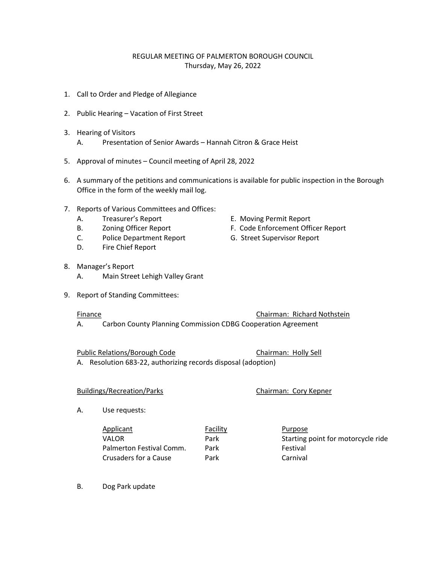# REGULAR MEETING OF PALMERTON BOROUGH COUNCIL Thursday, May 26, 2022

- 1. Call to Order and Pledge of Allegiance
- 2. Public Hearing Vacation of First Street
- 3. Hearing of Visitors
	- A. Presentation of Senior Awards Hannah Citron & Grace Heist
- 5. Approval of minutes Council meeting of April 28, 2022
- 6. A summary of the petitions and communications is available for public inspection in the Borough Office in the form of the weekly mail log.
- 7. Reports of Various Committees and Offices:
	- A. Treasurer's Report **E. Moving Permit Report**
	-
	- C. Police Department Report G. Street Supervisor Report
	- D. Fire Chief Report
- 8. Manager's Report
	- A. Main Street Lehigh Valley Grant
- 9. Report of Standing Committees:

Finance Chairman: Richard Nothstein

A. Carbon County Planning Commission CDBG Cooperation Agreement

Public Relations/Borough Code Chairman: Holly Sell

A. Resolution 683-22, authorizing records disposal (adoption)

## Buildings/Recreation/Parks Chairman: Cory Kepner

- A. Use requests:
	- Applicant **Facility** Purpose VALOR Park Park Starting point for motorcycle ride Palmerton Festival Comm. Park Festival Crusaders for a Cause **Park** Carnival
- B. Dog Park update
- 
- B. Zoning Officer Report F. Code Enforcement Officer Report
	-